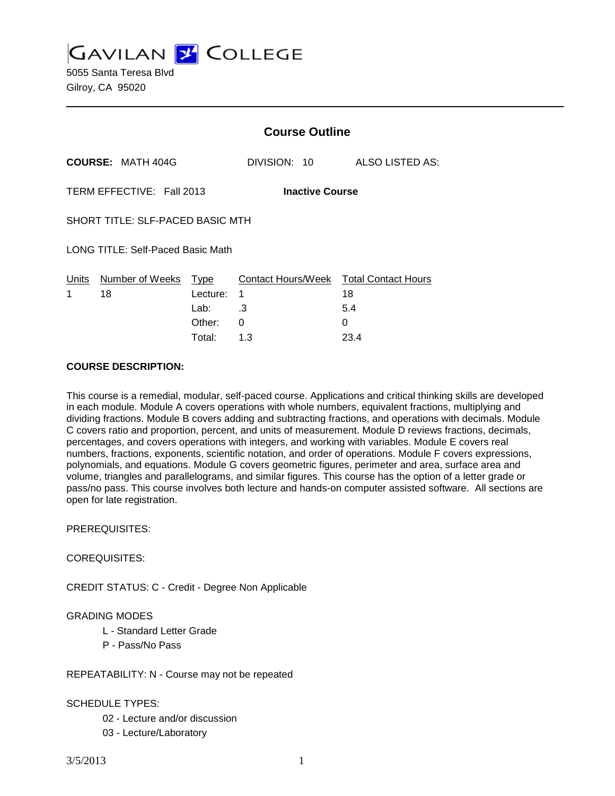**GAVILAN 2 COLLEGE** 

5055 Santa Teresa Blvd Gilroy, CA 95020

|                                          |                                  | <b>Course Outline</b>    |                                             |                 |
|------------------------------------------|----------------------------------|--------------------------|---------------------------------------------|-----------------|
|                                          | <b>COURSE: MATH 404G</b>         |                          | DIVISION: 10                                | ALSO LISTED AS: |
| TERM EFFECTIVE: Fall 2013                |                                  |                          | <b>Inactive Course</b>                      |                 |
| SHORT TITLE: SLF-PACED BASIC MTH         |                                  |                          |                                             |                 |
| <b>LONG TITLE: Self-Paced Basic Math</b> |                                  |                          |                                             |                 |
| 1                                        | Units Number of Weeks Type<br>18 | Lecture:<br>Lab: $\, .3$ | Contact Hours/Week Total Contact Hours<br>1 | 18<br>5.4       |
|                                          |                                  | Other:<br>Total:         | 0<br>1.3                                    | 0<br>23.4       |
|                                          |                                  |                          |                                             |                 |

### **COURSE DESCRIPTION:**

This course is a remedial, modular, self-paced course. Applications and critical thinking skills are developed in each module. Module A covers operations with whole numbers, equivalent fractions, multiplying and dividing fractions. Module B covers adding and subtracting fractions, and operations with decimals. Module C covers ratio and proportion, percent, and units of measurement. Module D reviews fractions, decimals, percentages, and covers operations with integers, and working with variables. Module E covers real numbers, fractions, exponents, scientific notation, and order of operations. Module F covers expressions, polynomials, and equations. Module G covers geometric figures, perimeter and area, surface area and volume, triangles and parallelograms, and similar figures. This course has the option of a letter grade or pass/no pass. This course involves both lecture and hands-on computer assisted software. All sections are open for late registration.

### PREREQUISITES:

### COREQUISITES:

CREDIT STATUS: C - Credit - Degree Non Applicable

### GRADING MODES

- L Standard Letter Grade
- P Pass/No Pass

### REPEATABILITY: N - Course may not be repeated

## SCHEDULE TYPES:

- 02 Lecture and/or discussion
- 03 Lecture/Laboratory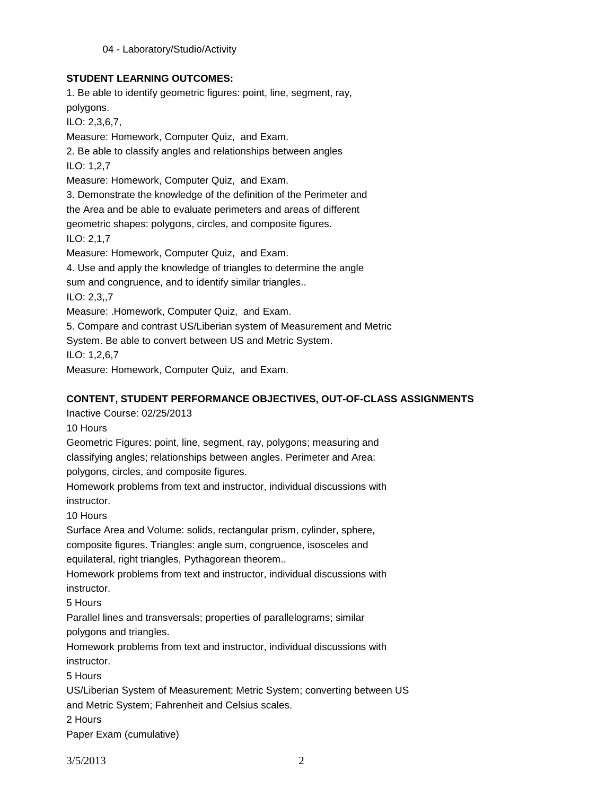04 - Laboratory/Studio/Activity

## **STUDENT LEARNING OUTCOMES:**

1. Be able to identify geometric figures: point, line, segment, ray, polygons. ILO: 2,3,6,7, Measure: Homework, Computer Quiz, and Exam. 2. Be able to classify angles and relationships between angles ILO: 1,2,7 Measure: Homework, Computer Quiz, and Exam. 3. Demonstrate the knowledge of the definition of the Perimeter and the Area and be able to evaluate perimeters and areas of different geometric shapes: polygons, circles, and composite figures. ILO: 2,1,7 Measure: Homework, Computer Quiz, and Exam. 4. Use and apply the knowledge of triangles to determine the angle sum and congruence, and to identify similar triangles.. ILO: 2,3,,7 Measure: .Homework, Computer Quiz, and Exam. 5. Compare and contrast US/Liberian system of Measurement and Metric System. Be able to convert between US and Metric System. ILO: 1,2,6,7

Measure: Homework, Computer Quiz, and Exam.

# **CONTENT, STUDENT PERFORMANCE OBJECTIVES, OUT-OF-CLASS ASSIGNMENTS**

Inactive Course: 02/25/2013

10 Hours

Geometric Figures: point, line, segment, ray, polygons; measuring and classifying angles; relationships between angles. Perimeter and Area:

polygons, circles, and composite figures.

Homework problems from text and instructor, individual discussions with instructor.

10 Hours

Surface Area and Volume: solids, rectangular prism, cylinder, sphere, composite figures. Triangles: angle sum, congruence, isosceles and

equilateral, right triangles, Pythagorean theorem..

Homework problems from text and instructor, individual discussions with instructor.

5 Hours

Parallel lines and transversals; properties of parallelograms; similar polygons and triangles.

Homework problems from text and instructor, individual discussions with instructor.

5 Hours

US/Liberian System of Measurement; Metric System; converting between US and Metric System; Fahrenheit and Celsius scales.

2 Hours

Paper Exam (cumulative)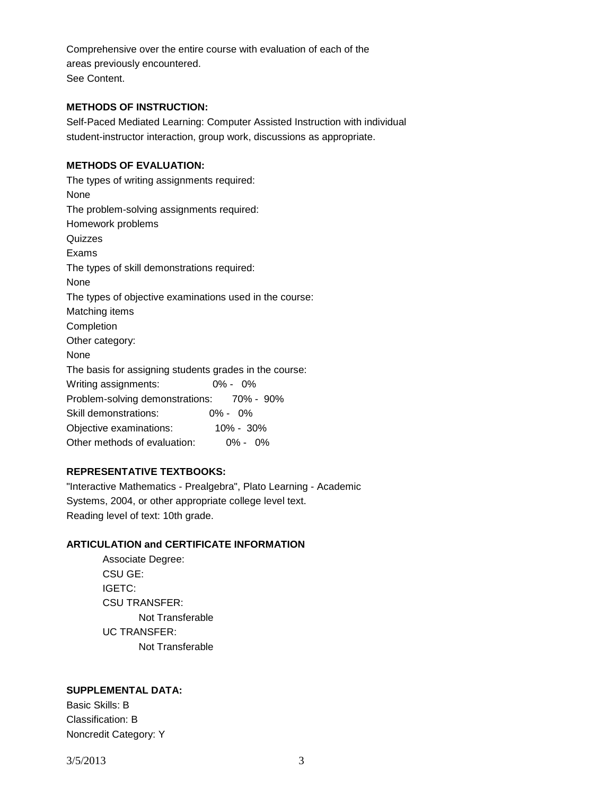Comprehensive over the entire course with evaluation of each of the areas previously encountered. See Content.

## **METHODS OF INSTRUCTION:**

Self-Paced Mediated Learning: Computer Assisted Instruction with individual student-instructor interaction, group work, discussions as appropriate.

## **METHODS OF EVALUATION:**

The types of writing assignments required: None The problem-solving assignments required: Homework problems Quizzes Exams The types of skill demonstrations required: None The types of objective examinations used in the course: Matching items Completion Other category: None The basis for assigning students grades in the course: Writing assignments: 0% - 0% Problem-solving demonstrations: 70% - 90% Skill demonstrations: 0% - 0% Objective examinations: 10% - 30% Other methods of evaluation: 0% - 0%

## **REPRESENTATIVE TEXTBOOKS:**

"Interactive Mathematics - Prealgebra", Plato Learning - Academic Systems, 2004, or other appropriate college level text. Reading level of text: 10th grade.

### **ARTICULATION and CERTIFICATE INFORMATION**

Associate Degree: CSU GE: IGETC: CSU TRANSFER: Not Transferable UC TRANSFER: Not Transferable

### **SUPPLEMENTAL DATA:**

Basic Skills: B Classification: B Noncredit Category: Y